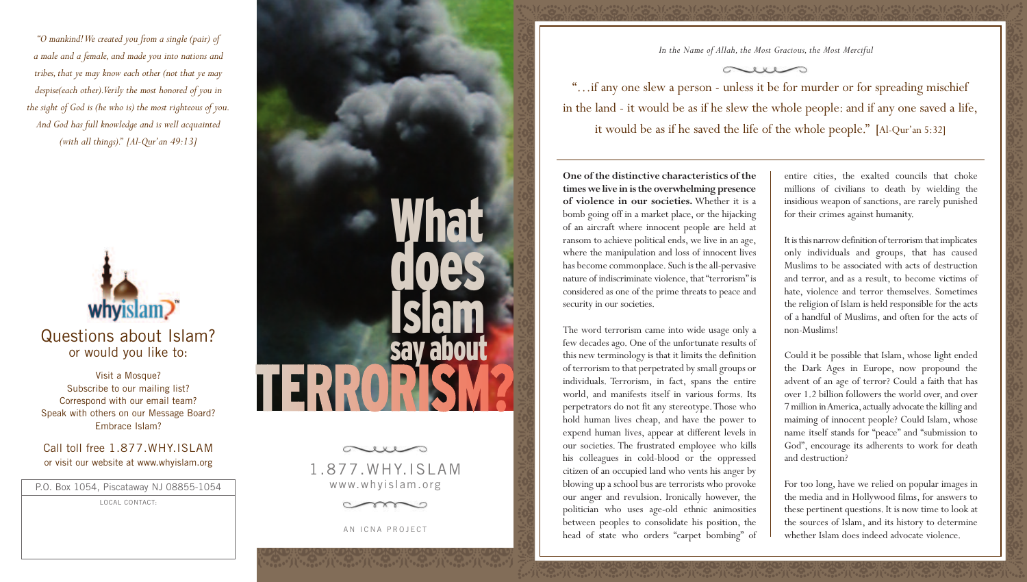*"O mankind! We created you from a single (pair) of a male and a female, and made you into nations and tribes, that ye may know each other (not that ye may despise(each other).Verily the most honored of you in the sight of God is (he who is) the most righteous of you. And God has full knowledge and is well acquainted (with all things)." [Al-Qur'an 49:13]* 



# Questions about Islam? or would you like to:

Visit a Mosque? Subscribe to our mailing list? Correspond with our email team? Speak with others on our Message Board? Embrace Islam?

#### Call toll free 1.877.WHY.ISLAM or visit our website at www.whyislam.org

P.O. Box 1054, Piscataway NJ 08855-1054

LOCAL CONTACT:



1.877.WHY.ISLAM www.whyislam.org



AN ICNA PROJECT

*In the Name of Allah, the Most Gracious, the Most Merciful*

"…if any one slew a person - unless it be for murder or for spreading mischief in the land - it would be as if he slew the whole people: and if any one saved a life, it would be as if he saved the life of the whole people." [Al-Qur'an 5:32]

**One of the distinctive characteristics of the times we live in is the overwhelming presence of violence in our societies.** Whether it is a bomb going off in a market place, or the hijacking of an aircraft where innocent people are held at ransom to achieve political ends, we live in an age, where the manipulation and loss of innocent lives has become commonplace. Such is the all-pervasive nature of indiscriminate violence, that "terrorism" is considered as one of the prime threats to peace and security in our societies.

The word terrorism came into wide usage only a few decades ago. One of the unfortunate results of this new terminology is that it limits the definition of terrorism to that perpetrated by small groups or individuals. Terrorism, in fact, spans the entire world, and manifests itself in various forms. Its perpetrators do not fit any stereotype.Those who hold human lives cheap, and have the power to expend human lives, appear at different levels in our societies. The frustrated employee who kills his colleagues in cold-blood or the oppressed citizen of an occupied land who vents his anger by blowing up a school bus are terrorists who provoke our anger and revulsion. Ironically however, the politician who uses age-old ethnic animosities between peoples to consolidate his position, the head of state who orders "carpet bombing" of

entire cities, the exalted councils that choke millions of civilians to death by wielding the insidious weapon of sanctions, are rarely punished for their crimes against humanity.

It is this narrow definition of terrorism that implicates only individuals and groups, that has caused Muslims to be associated with acts of destruction and terror, and as a result, to become victims of hate, violence and terror themselves. Sometimes the religion of Islam is held responsible for the acts of a handful of Muslims, and often for the acts of non-Muslims!

Could it be possible that Islam, whose light ended the Dark Ages in Europe, now propound the advent of an age of terror? Could a faith that has over 1.2 billion followers the world over, and over 7 million in America, actually advocate the killing and maiming of innocent people? Could Islam, whose name itself stands for "peace" and "submission to God", encourage its adherents to work for death and destruction?

For too long, have we relied on popular images in the media and in Hollywood films, for answers to these pertinent questions. It is now time to look at the sources of Islam, and its history to determine whether Islam does indeed advocate violence.